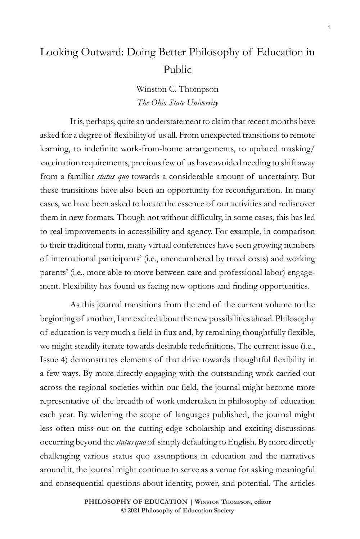## Looking Outward: Doing Better Philosophy of Education in Public

Winston C. Thompson *The Ohio State University*

It is, perhaps, quite an understatement to claim that recent months have asked for a degree of flexibility of us all. From unexpected transitions to remote learning, to indefinite work-from-home arrangements, to updated masking/ vaccination requirements, precious few of us have avoided needing to shift away from a familiar *status quo* towards a considerable amount of uncertainty. But these transitions have also been an opportunity for reconfiguration. In many cases, we have been asked to locate the essence of our activities and rediscover them in new formats. Though not without difficulty, in some cases, this has led to real improvements in accessibility and agency. For example, in comparison to their traditional form, many virtual conferences have seen growing numbers of international participants' (i.e., unencumbered by travel costs) and working parents' (i.e., more able to move between care and professional labor) engagement. Flexibility has found us facing new options and finding opportunities.

As this journal transitions from the end of the current volume to the beginning of another, I am excited about the new possibilities ahead. Philosophy of education is very much a field in flux and, by remaining thoughtfully flexible, we might steadily iterate towards desirable redefinitions. The current issue (i.e., Issue 4) demonstrates elements of that drive towards thoughtful flexibility in a few ways. By more directly engaging with the outstanding work carried out across the regional societies within our field, the journal might become more representative of the breadth of work undertaken in philosophy of education each year. By widening the scope of languages published, the journal might less often miss out on the cutting-edge scholarship and exciting discussions occurring beyond the *status quo* of simply defaulting to English. By more directly challenging various status quo assumptions in education and the narratives around it, the journal might continue to serve as a venue for asking meaningful and consequential questions about identity, power, and potential. The articles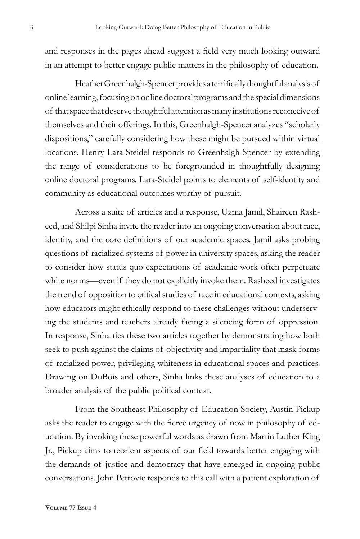and responses in the pages ahead suggest a field very much looking outward in an attempt to better engage public matters in the philosophy of education.

Heather Greenhalgh-Spencer provides a terrifically thoughtful analysis of online learning, focusing on online doctoral programs and the special dimensions of that space that deserve thoughtful attention as many institutions reconceive of themselves and their offerings. In this, Greenhalgh-Spencer analyzes "scholarly dispositions," carefully considering how these might be pursued within virtual locations. Henry Lara-Steidel responds to Greenhalgh-Spencer by extending the range of considerations to be foregrounded in thoughtfully designing online doctoral programs. Lara-Steidel points to elements of self-identity and community as educational outcomes worthy of pursuit.

Across a suite of articles and a response, Uzma Jamil, Shaireen Rasheed, and Shilpi Sinha invite the reader into an ongoing conversation about race, identity, and the core definitions of our academic spaces. Jamil asks probing questions of racialized systems of power in university spaces, asking the reader to consider how status quo expectations of academic work often perpetuate white norms—even if they do not explicitly invoke them. Rasheed investigates the trend of opposition to critical studies of race in educational contexts, asking how educators might ethically respond to these challenges without underserving the students and teachers already facing a silencing form of oppression. In response, Sinha ties these two articles together by demonstrating how both seek to push against the claims of objectivity and impartiality that mask forms of racialized power, privileging whiteness in educational spaces and practices. Drawing on DuBois and others, Sinha links these analyses of education to a broader analysis of the public political context.

From the Southeast Philosophy of Education Society, Austin Pickup asks the reader to engage with the fierce urgency of now in philosophy of education. By invoking these powerful words as drawn from Martin Luther King Jr., Pickup aims to reorient aspects of our field towards better engaging with the demands of justice and democracy that have emerged in ongoing public conversations. John Petrovic responds to this call with a patient exploration of